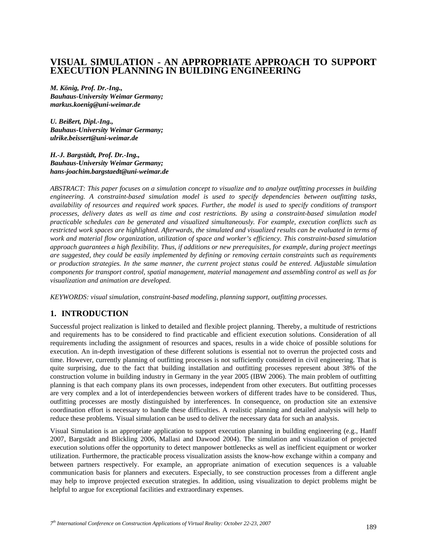# **VISUAL SIMULATION - AN APPROPRIATE APPROACH TO SUPPORT EXECUTION PLANNING IN BUILDING ENGINEERING**

*M. König, Prof. Dr.-Ing., Bauhaus-University Weimar Germany; markus.koenig@uni-weimar.de* 

*U. Beißert, Dipl.-Ing., Bauhaus-University Weimar Germany; ulrike.beissert@uni-weimar.de* 

*H.-J. Bargstädt, Prof. Dr.-Ing., Bauhaus-University Weimar Germany; hans-joachim.bargstaedt@uni-weimar.de* 

*ABSTRACT: This paper focuses on a simulation concept to visualize and to analyze outfitting processes in building engineering. A constraint-based simulation model is used to specify dependencies between outfitting tasks, availability of resources and required work spaces. Further, the model is used to specify conditions of transport processes, delivery dates as well as time and cost restrictions. By using a constraint-based simulation model practicable schedules can be generated and visualized simultaneously. For example, execution conflicts such as restricted work spaces are highlighted. Afterwards, the simulated and visualized results can be evaluated in terms of work and material flow organization, utilization of space and worker's efficiency. This constraint-based simulation approach guarantees a high flexibility. Thus, if additions or new prerequisites, for example, during project meetings are suggested, they could be easily implemented by defining or removing certain constraints such as requirements or production strategies. In the same manner, the current project status could be entered. Adjustable simulation components for transport control, spatial management, material management and assembling control as well as for visualization and animation are developed.* 

*KEYWORDS: visual simulation, constraint-based modeling, planning support, outfitting processes.* 

### **1. INTRODUCTION**

Successful project realization is linked to detailed and flexible project planning. Thereby, a multitude of restrictions and requirements has to be considered to find practicable and efficient execution solutions. Consideration of all requirements including the assignment of resources and spaces, results in a wide choice of possible solutions for execution. An in-depth investigation of these different solutions is essential not to overrun the projected costs and time. However, currently planning of outfitting processes is not sufficiently considered in civil engineering. That is quite surprising, due to the fact that building installation and outfitting processes represent about 38% of the construction volume in building industry in Germany in the year 2005 (IBW 2006). The main problem of outfitting planning is that each company plans its own processes, independent from other executers. But outfitting processes are very complex and a lot of interdependencies between workers of different trades have to be considered. Thus, outfitting processes are mostly distinguished by interferences. In consequence, on production site an extensive coordination effort is necessary to handle these difficulties. A realistic planning and detailed analysis will help to reduce these problems. Visual simulation can be used to deliver the necessary data for such an analysis.

Visual Simulation is an appropriate application to support execution planning in building engineering (e.g., Hanff 2007, Bargstädt and Blickling 2006, Mallasi and Dawood 2004). The simulation and visualization of projected execution solutions offer the opportunity to detect manpower bottlenecks as well as inefficient equipment or worker utilization. Furthermore, the practicable process visualization assists the know-how exchange within a company and between partners respectively. For example, an appropriate animation of execution sequences is a valuable communication basis for planners and executers. Especially, to see construction processes from a different angle may help to improve projected execution strategies. In addition, using visualization to depict problems might be helpful to argue for exceptional facilities and extraordinary expenses.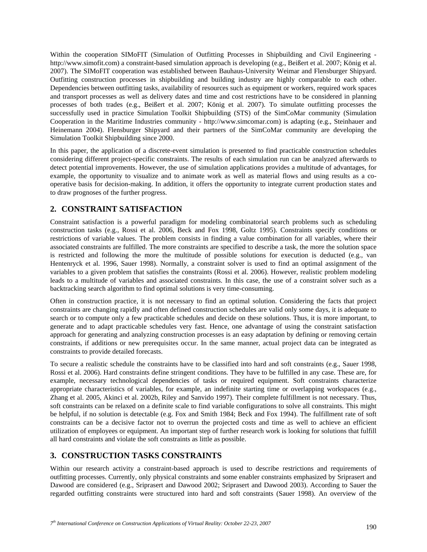Within the cooperation SIMoFIT (Simulation of Outfitting Processes in Shipbuilding and Civil Engineering http://www.simofit.com) a constraint-based simulation approach is developing (e.g., Beißert et al. 2007; König et al. 2007). The SIMoFIT cooperation was established between Bauhaus-University Weimar and Flensburger Shipyard. Outfitting construction processes in shipbuilding and building industry are highly comparable to each other. Dependencies between outfitting tasks, availability of resources such as equipment or workers, required work spaces and transport processes as well as delivery dates and time and cost restrictions have to be considered in planning processes of both trades (e.g., Beißert et al. 2007; König et al. 2007). To simulate outfitting processes the successfully used in practice Simulation Toolkit Shipbuilding (STS) of the SimCoMar community (Simulation Cooperation in the Maritime Industries community - http://www.simcomar.com) is adapting (e.g., Steinhauer and Heinemann 2004). Flensburger Shipyard and their partners of the SimCoMar community are developing the Simulation Toolkit Shipbuilding since 2000.

In this paper, the application of a discrete-event simulation is presented to find practicable construction schedules considering different project-specific constraints. The results of each simulation run can be analyzed afterwards to detect potential improvements. However, the use of simulation applications provides a multitude of advantages, for example, the opportunity to visualize and to animate work as well as material flows and using results as a cooperative basis for decision-making. In addition, it offers the opportunity to integrate current production states and to draw prognoses of the further progress.

## **2. CONSTRAINT SATISFACTION**

Constraint satisfaction is a powerful paradigm for modeling combinatorial search problems such as scheduling construction tasks (e.g., Rossi et al. 2006, Beck and Fox 1998, Goltz 1995). Constraints specify conditions or restrictions of variable values. The problem consists in finding a value combination for all variables, where their associated constraints are fulfilled. The more constraints are specified to describe a task, the more the solution space is restricted and following the more the multitude of possible solutions for execution is deducted (e.g., van Hentenryck et al. 1996, Sauer 1998). Normally, a constraint solver is used to find an optimal assignment of the variables to a given problem that satisfies the constraints (Rossi et al. 2006). However, realistic problem modeling leads to a multitude of variables and associated constraints. In this case, the use of a constraint solver such as a backtracking search algorithm to find optimal solutions is very time-consuming.

Often in construction practice, it is not necessary to find an optimal solution. Considering the facts that project constraints are changing rapidly and often defined construction schedules are valid only some days, it is adequate to search or to compute only a few practicable schedules and decide on these solutions. Thus, it is more important, to generate and to adapt practicable schedules very fast. Hence, one advantage of using the constraint satisfaction approach for generating and analyzing construction processes is an easy adaptation by defining or removing certain constraints, if additions or new prerequisites occur. In the same manner, actual project data can be integrated as constraints to provide detailed forecasts.

To secure a realistic schedule the constraints have to be classified into hard and soft constraints (e.g., Sauer 1998, Rossi et al. 2006). Hard constraints define stringent conditions. They have to be fulfilled in any case. These are, for example, necessary technological dependencies of tasks or required equipment. Soft constraints characterize appropriate characteristics of variables, for example, an indefinite starting time or overlapping workspaces (e.g., Zhang et al. 2005, Akinci et al. 2002b, Riley and Sanvido 1997). Their complete fulfillment is not necessary. Thus, soft constraints can be relaxed on a definite scale to find variable configurations to solve all constraints. This might be helpful, if no solution is detectable (e.g. Fox and Smith 1984; Beck and Fox 1994). The fulfillment rate of soft constraints can be a decisive factor not to overrun the projected costs and time as well to achieve an efficient utilization of employees or equipment. An important step of further research work is looking for solutions that fulfill all hard constraints and violate the soft constraints as little as possible.

# **3. CONSTRUCTION TASKS CONSTRAINTS**

Within our research activity a constraint-based approach is used to describe restrictions and requirements of outfitting processes. Currently, only physical constraints and some enabler constraints emphasized by Sriprasert and Dawood are considered (e.g., Sriprasert and Dawood 2002; Sriprasert and Dawood 2003). According to Sauer the regarded outfitting constraints were structured into hard and soft constraints (Sauer 1998). An overview of the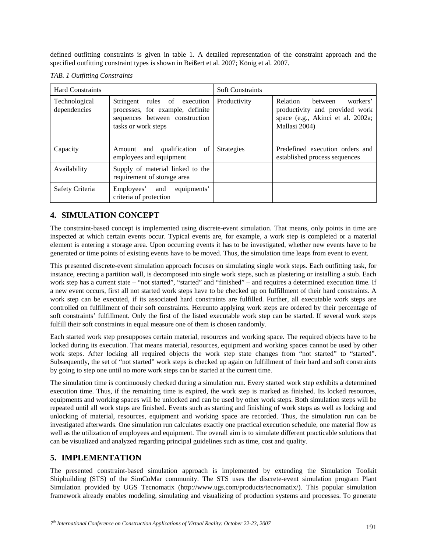defined outfitting constraints is given in table 1. A detailed representation of the constraint approach and the specified outfitting constraint types is shown in Beißert et al. 2007; König et al. 2007.

*TAB. 1 Outfitting Constraints* 

| <b>Hard Constraints</b>              |                                                                                                                           | <b>Soft Constraints</b> |                                                                                                                         |
|--------------------------------------|---------------------------------------------------------------------------------------------------------------------------|-------------------------|-------------------------------------------------------------------------------------------------------------------------|
| <b>Technological</b><br>dependencies | Stringent rules of execution<br>processes, for example, definite<br>sequences between construction<br>tasks or work steps | Productivity            | Relation<br>between<br>workers'<br>productivity and provided work<br>space (e.g., Akinci et al. 2002a;<br>Mallasi 2004) |
| Capacity                             | and qualification of<br>Amount<br>employees and equipment                                                                 | <b>Strategies</b>       | Predefined execution orders and<br>established process sequences                                                        |
| Availability                         | Supply of material linked to the<br>requirement of storage area                                                           |                         |                                                                                                                         |
| Safety Criteria                      | equipments'<br>Employees' and<br>criteria of protection                                                                   |                         |                                                                                                                         |

# **4. SIMULATION CONCEPT**

The constraint-based concept is implemented using discrete-event simulation. That means, only points in time are inspected at which certain events occur. Typical events are, for example, a work step is completed or a material element is entering a storage area. Upon occurring events it has to be investigated, whether new events have to be generated or time points of existing events have to be moved. Thus, the simulation time leaps from event to event.

This presented discrete-event simulation approach focuses on simulating single work steps. Each outfitting task, for instance, erecting a partition wall, is decomposed into single work steps, such as plastering or installing a stub. Each work step has a current state – "not started", "started" and "finished" – and requires a determined execution time. If a new event occurs, first all not started work steps have to be checked up on fulfillment of their hard constraints. A work step can be executed, if its associated hard constraints are fulfilled. Further, all executable work steps are controlled on fulfillment of their soft constraints. Hereunto applying work steps are ordered by their percentage of soft constraints' fulfillment. Only the first of the listed executable work step can be started. If several work steps fulfill their soft constraints in equal measure one of them is chosen randomly.

Each started work step presupposes certain material, resources and working space. The required objects have to be locked during its execution. That means material, resources, equipment and working spaces cannot be used by other work steps. After locking all required objects the work step state changes from "not started" to "started". Subsequently, the set of "not started" work steps is checked up again on fulfillment of their hard and soft constraints by going to step one until no more work steps can be started at the current time.

The simulation time is continuously checked during a simulation run. Every started work step exhibits a determined execution time. Thus, if the remaining time is expired, the work step is marked as finished. Its locked resources, equipments and working spaces will be unlocked and can be used by other work steps. Both simulation steps will be repeated until all work steps are finished. Events such as starting and finishing of work steps as well as locking and unlocking of material, resources, equipment and working space are recorded. Thus, the simulation run can be investigated afterwards. One simulation run calculates exactly one practical execution schedule, one material flow as well as the utilization of employees and equipment. The overall aim is to simulate different practicable solutions that can be visualized and analyzed regarding principal guidelines such as time, cost and quality.

# **5. IMPLEMENTATION**

The presented constraint-based simulation approach is implemented by extending the Simulation Toolkit Shipbuilding (STS) of the SimCoMar community. The STS uses the discrete-event simulation program Plant Simulation provided by UGS Tecnomatix (http://www.ugs.com/products/tecnomatix/). This popular simulation framework already enables modeling, simulating and visualizing of production systems and processes. To generate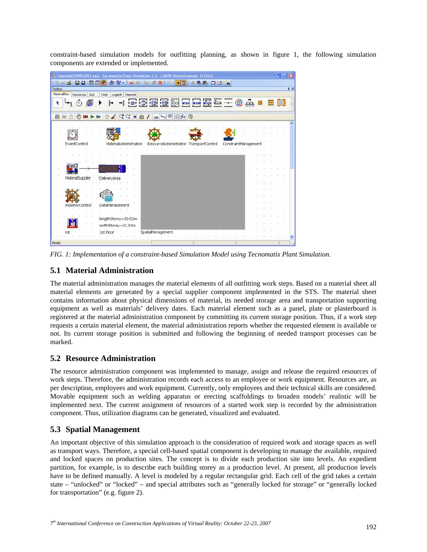constraint-based simulation models for outfitting planning, as shown in figure 1, the following simulation components are extended or implemented.

|              | The ExampleCONVR2007.spp - Tecnomatix Plant Simulation 7.6 - [.BUW.StoreyExample (125%)] |                      |  | $ \Box$ $\times$ |            |
|--------------|------------------------------------------------------------------------------------------|----------------------|--|------------------|------------|
|              | SEN 58X<br>中 담 · 13D<br>豈<br>场图 □ □ 的                                                    |                      |  |                  |            |
| Toobox       |                                                                                          |                      |  |                  | <b>a</b> x |
| Materialflow | Resources GUI<br>Logistik Material<br>Tools                                              |                      |  |                  |            |
| ٠            | <b>国际团团团西西西西三中央</b><br>A                                                                 |                      |  |                  |            |
|              |                                                                                          |                      |  |                  |            |
| EE.          | $0 < Q Q \sin \theta$<br>OMD<br>G.                                                       |                      |  |                  |            |
|              |                                                                                          |                      |  |                  |            |
|              |                                                                                          |                      |  |                  |            |
|              |                                                                                          |                      |  |                  |            |
|              | EventControl<br>ResourceAdministration TransportControl<br>MaterialAdministration        | ConstraintManagement |  |                  |            |
|              |                                                                                          |                      |  |                  |            |
|              |                                                                                          |                      |  |                  |            |
|              |                                                                                          |                      |  |                  |            |
|              | MaterialSupplier                                                                         |                      |  |                  |            |
|              | <b>DeliveryArea</b>                                                                      |                      |  |                  |            |
|              |                                                                                          |                      |  |                  |            |
|              |                                                                                          |                      |  |                  |            |
|              | AssemlyControl<br>DataManagement                                                         |                      |  |                  |            |
|              |                                                                                          |                      |  |                  |            |
|              | lengthStorey=30.52m                                                                      |                      |  |                  |            |
|              | widthStorey=21.93m                                                                       |                      |  |                  |            |
|              | 1st Floor<br>SpatialManagement<br>init                                                   |                      |  |                  |            |
|              |                                                                                          |                      |  |                  |            |
| Ready        |                                                                                          |                      |  |                  |            |

*FIG. 1: Implementation of a constraint-based Simulation Model using Tecnomatix Plant Simulation.* 

# **5.1 Material Administration**

The material administration manages the material elements of all outfitting work steps. Based on a material sheet all material elements are generated by a special supplier component implemented in the STS. The material sheet contains information about physical dimensions of material, its needed storage area and transportation supporting equipment as well as materials' delivery dates. Each material element such as a panel, plate or plasterboard is registered at the material administration component by committing its current storage position. Thus, if a work step requests a certain material element, the material administration reports whether the requested element is available or not. Its current storage position is submitted and following the beginning of needed transport processes can be marked.

### **5.2 Resource Administration**

The resource administration component was implemented to manage, assign and release the required resources of work steps. Therefore, the administration records each access to an employee or work equipment. Resources are, as per description, employees and work equipment. Currently, only employees and their technical skills are considered. Movable equipment such as welding apparatus or erecting scaffoldings to broaden models' realistic will be implemented next. The current assignment of resources of a started work step is recorded by the administration component. Thus, utilization diagrams can be generated, visualized and evaluated.

# **5.3 Spatial Management**

An important objective of this simulation approach is the consideration of required work and storage spaces as well as transport ways. Therefore, a special cell-based spatial component is developing to manage the available, required and locked spaces on production sites. The concept is to divide each production site into levels. An expedient partition, for example, is to describe each building storey as a production level. At present, all production levels have to be defined manually. A level is modeled by a regular rectangular grid. Each cell of the grid takes a certain state – "unlocked" or "locked" – and special attributes such as "generally locked for storage" or "generally locked for transportation" (e.g. figure 2).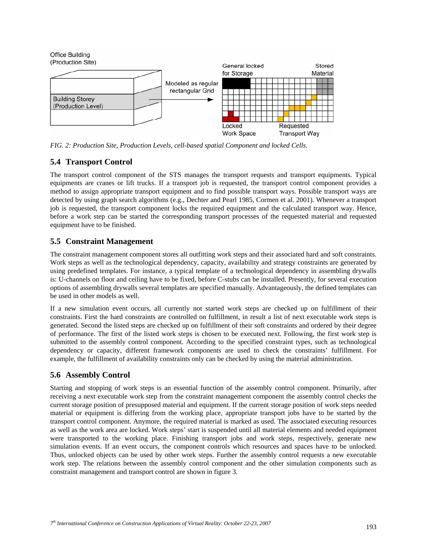

*FIG. 2: Production Site, Production Levels, cell-based spatial Component and locked Cells.* 

### **5.4 Transport Control**

The transport control component of the STS manages the transport requests and transport equipments. Typical equipments are cranes or lift trucks. If a transport job is requested, the transport control component provides a method to assign appropriate transport equipment and to find possible transport ways. Possible transport ways are detected by using graph search algorithms (e.g., Dechter and Pearl 1985, Cormen et al. 2001). Whenever a transport job is requested, the transport component locks the required equipment and the calculated transport way. Hence, before a work step can be started the corresponding transport processes of the requested material and requested equipment have to be finished.

# **5.5 Constraint Management**

The constraint management component stores all outfitting work steps and their associated hard and soft constraints. Work steps as well as the technological dependency, capacity, availability and strategy constraints are generated by using predefined templates. For instance, a typical template of a technological dependency in assembling drywalls is: U-channels on floor and ceiling have to be fixed, before C-stubs can be installed. Presently, for several execution options of assembling drywalls several templates are specified manually. Advantageously, the defined templates can be used in other models as well.

If a new simulation event occurs, all currently not started work steps are checked up on fulfillment of their constraints. First the hard constraints are controlled on fulfillment, in result a list of next executable work steps is generated. Second the listed steps are checked up on fulfillment of their soft constraints and ordered by their degree of performance. The first of the listed work steps is chosen to be executed next. Following, the first work step is submitted to the assembly control component. According to the specified constraint types, such as technological dependency or capacity, different framework components are used to check the constraints' fulfillment. For example, the fulfillment of availability constraints only can be checked by using the material administration.

# **5.6 Assembly Control**

Starting and stopping of work steps is an essential function of the assembly control component. Primarily, after receiving a next executable work step from the constraint management component the assembly control checks the current storage position of presupposed material and equipment. If the current storage position of work steps needed material or equipment is differing from the working place, appropriate transport jobs have to be started by the transport control component. Anymore, the required material is marked as used. The associated executing resources as well as the work area are locked. Work steps' start is suspended until all material elements and needed equipment were transported to the working place. Finishing transport jobs and work steps, respectively, generate new simulation events. If an event occurs, the component controls which resources and spaces have to be unlocked. Thus, unlocked objects can be used by other work steps. Further the assembly control requests a new executable work step. The relations between the assembly control component and the other simulation components such as constraint management and transport control are shown in figure 3.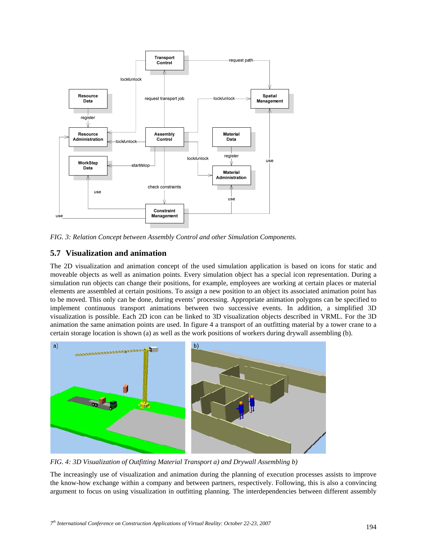

*FIG. 3: Relation Concept between Assembly Control and other Simulation Components.* 

## **5.7 Visualization and animation**

The 2D visualization and animation concept of the used simulation application is based on icons for static and moveable objects as well as animation points. Every simulation object has a special icon representation. During a simulation run objects can change their positions, for example, employees are working at certain places or material elements are assembled at certain positions. To assign a new position to an object its associated animation point has to be moved. This only can be done, during events' processing. Appropriate animation polygons can be specified to implement continuous transport animations between two successive events. In addition, a simplified 3D visualization is possible. Each 2D icon can be linked to 3D visualization objects described in VRML. For the 3D animation the same animation points are used. In figure 4 a transport of an outfitting material by a tower crane to a certain storage location is shown (a) as well as the work positions of workers during drywall assembling (b).



*FIG. 4: 3D Visualization of Outfitting Material Transport a) and Drywall Assembling b)* 

The increasingly use of visualization and animation during the planning of execution processes assists to improve the know-how exchange within a company and between partners, respectively. Following, this is also a convincing argument to focus on using visualization in outfitting planning. The interdependencies between different assembly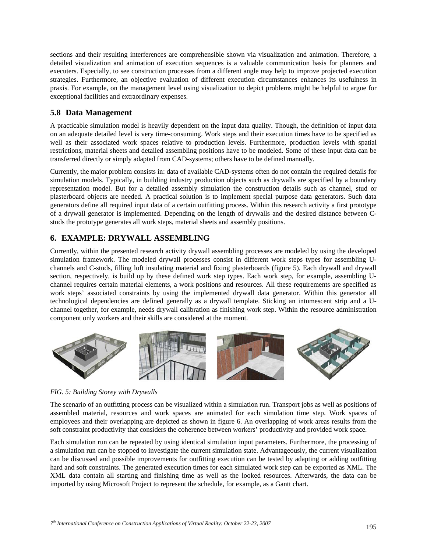sections and their resulting interferences are comprehensible shown via visualization and animation. Therefore, a detailed visualization and animation of execution sequences is a valuable communication basis for planners and executers. Especially, to see construction processes from a different angle may help to improve projected execution strategies. Furthermore, an objective evaluation of different execution circumstances enhances its usefulness in praxis. For example, on the management level using visualization to depict problems might be helpful to argue for exceptional facilities and extraordinary expenses.

#### **5.8 Data Management**

A practicable simulation model is heavily dependent on the input data quality. Though, the definition of input data on an adequate detailed level is very time-consuming. Work steps and their execution times have to be specified as well as their associated work spaces relative to production levels. Furthermore, production levels with spatial restrictions, material sheets and detailed assembling positions have to be modeled. Some of these input data can be transferred directly or simply adapted from CAD-systems; others have to be defined manually.

Currently, the major problem consists in: data of available CAD-systems often do not contain the required details for simulation models. Typically, in building industry production objects such as drywalls are specified by a boundary representation model. But for a detailed assembly simulation the construction details such as channel, stud or plasterboard objects are needed. A practical solution is to implement special purpose data generators. Such data generators define all required input data of a certain outfitting process. Within this research activity a first prototype of a drywall generator is implemented. Depending on the length of drywalls and the desired distance between Cstuds the prototype generates all work steps, material sheets and assembly positions.

## **6. EXAMPLE: DRYWALL ASSEMBLING**

Currently, within the presented research activity drywall assembling processes are modeled by using the developed simulation framework. The modeled drywall processes consist in different work steps types for assembling Uchannels and C-studs, filling loft insulating material and fixing plasterboards (figure 5). Each drywall and drywall section, respectively, is build up by these defined work step types. Each work step, for example, assembling Uchannel requires certain material elements, a work positions and resources. All these requirements are specified as work steps' associated constraints by using the implemented drywall data generator. Within this generator all technological dependencies are defined generally as a drywall template. Sticking an intumescent strip and a Uchannel together, for example, needs drywall calibration as finishing work step. Within the resource administration component only workers and their skills are considered at the moment.



#### *FIG. 5: Building Storey with Drywalls*

The scenario of an outfitting process can be visualized within a simulation run. Transport jobs as well as positions of assembled material, resources and work spaces are animated for each simulation time step. Work spaces of employees and their overlapping are depicted as shown in figure 6. An overlapping of work areas results from the soft constraint productivity that considers the coherence between workers' productivity and provided work space.

Each simulation run can be repeated by using identical simulation input parameters. Furthermore, the processing of a simulation run can be stopped to investigate the current simulation state. Advantageously, the current visualization can be discussed and possible improvements for outfitting execution can be tested by adapting or adding outfitting hard and soft constraints. The generated execution times for each simulated work step can be exported as XML. The XML data contain all starting and finishing time as well as the looked resources. Afterwards, the data can be imported by using Microsoft Project to represent the schedule, for example, as a Gantt chart.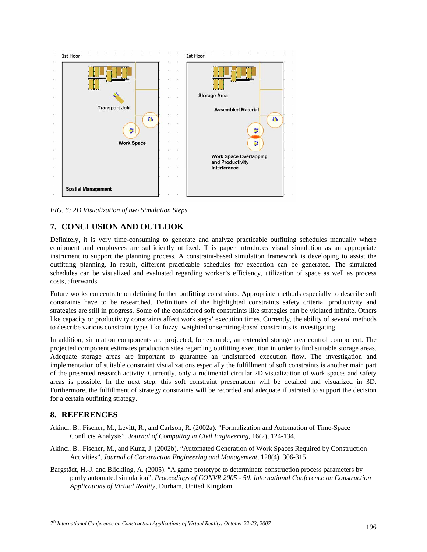

*FIG. 6: 2D Visualization of two Simulation Steps.* 

# **7. CONCLUSION AND OUTLOOK**

Definitely, it is very time-consuming to generate and analyze practicable outfitting schedules manually where equipment and employees are sufficiently utilized. This paper introduces visual simulation as an appropriate instrument to support the planning process. A constraint-based simulation framework is developing to assist the outfitting planning. In result, different practicable schedules for execution can be generated. The simulated schedules can be visualized and evaluated regarding worker's efficiency, utilization of space as well as process costs, afterwards.

Future works concentrate on defining further outfitting constraints. Appropriate methods especially to describe soft constraints have to be researched. Definitions of the highlighted constraints safety criteria, productivity and strategies are still in progress. Some of the considered soft constraints like strategies can be violated infinite. Others like capacity or productivity constraints affect work steps' execution times. Currently, the ability of several methods to describe various constraint types like fuzzy, weighted or semiring-based constraints is investigating.

In addition, simulation components are projected, for example, an extended storage area control component. The projected component estimates production sites regarding outfitting execution in order to find suitable storage areas. Adequate storage areas are important to guarantee an undisturbed execution flow. The investigation and implementation of suitable constraint visualizations especially the fulfillment of soft constraints is another main part of the presented research activity. Currently, only a rudimental circular 2D visualization of work spaces and safety areas is possible. In the next step, this soft constraint presentation will be detailed and visualized in 3D. Furthermore, the fulfillment of strategy constraints will be recorded and adequate illustrated to support the decision for a certain outfitting strategy.

### **8. REFERENCES**

- Akinci, B., Fischer, M., Levitt, R., and Carlson, R. (2002a). "Formalization and Automation of Time-Space Conflicts Analysis", *Journal of Computing in Civil Engineering*, 16(2), 124-134.
- Akinci, B., Fischer, M., and Kunz, J. (2002b). "Automated Generation of Work Spaces Required by Construction Activities", *Journal of Construction Engineering and Management*, 128(4), 306-315.
- Bargstädt, H.-J. and Blickling, A. (2005). "A game prototype to determinate construction process parameters by partly automated simulation", *Proceedings of CONVR 2005 - 5th International Conference on Construction Applications of Virtual Reality*, Durham, United Kingdom.